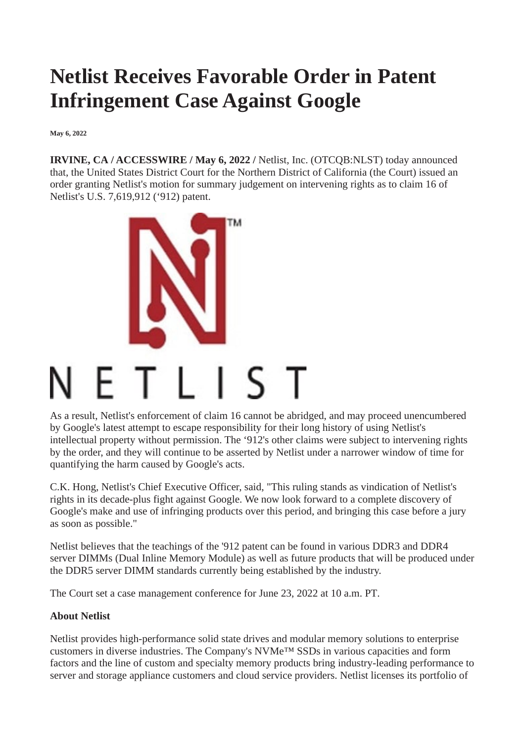## **Netlist Receives Favorable Order in Patent Infringement Case Against Google**

**May 6, 2022**

**IRVINE, CA / ACCESSWIRE / May 6, 2022 /** Netlist, Inc. (OTCQB:NLST) today announced that, the United States District Court for the Northern District of California (the Court) issued an order granting Netlist's motion for summary judgement on intervening rights as to claim 16 of Netlist's U.S. 7,619,912 ('912) patent.



As a result, Netlist's enforcement of claim 16 cannot be abridged, and may proceed unencumbered by Google's latest attempt to escape responsibility for their long history of using Netlist's intellectual property without permission. The '912's other claims were subject to intervening rights by the order, and they will continue to be asserted by Netlist under a narrower window of time for quantifying the harm caused by Google's acts.

C.K. Hong, Netlist's Chief Executive Officer, said, "This ruling stands as vindication of Netlist's rights in its decade-plus fight against Google. We now look forward to a complete discovery of Google's make and use of infringing products over this period, and bringing this case before a jury as soon as possible."

Netlist believes that the teachings of the '912 patent can be found in various DDR3 and DDR4 server DIMMs (Dual Inline Memory Module) as well as future products that will be produced under the DDR5 server DIMM standards currently being established by the industry.

The Court set a case management conference for June 23, 2022 at 10 a.m. PT.

## **About Netlist**

Netlist provides high-performance solid state drives and modular memory solutions to enterprise customers in diverse industries. The Company's NVMe™ SSDs in various capacities and form factors and the line of custom and specialty memory products bring industry-leading performance to server and storage appliance customers and cloud service providers. Netlist licenses its portfolio of